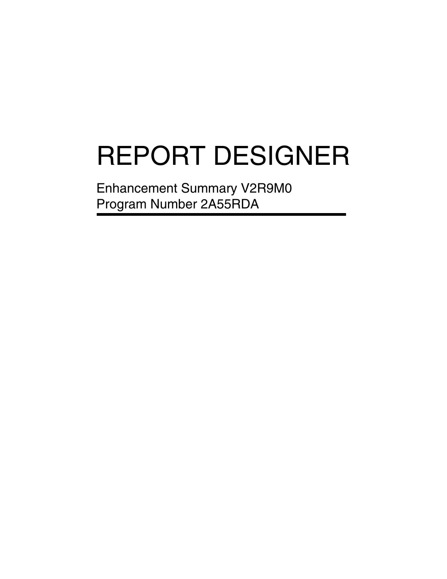# REPORT DESIGNER

Enhancement Summary V2R9M0 Program Number 2A55RDA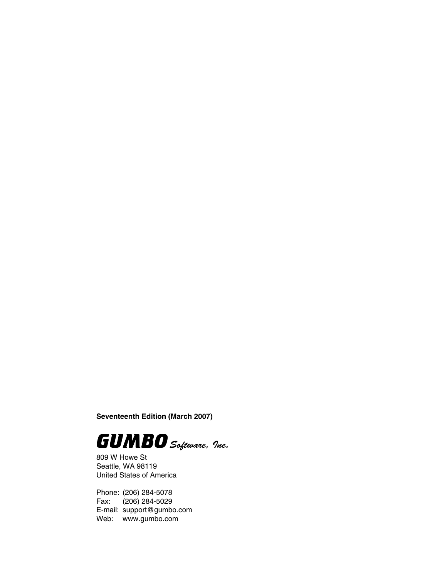**Seventeenth Edition (March 2007)**



809 W Howe St Seattle, WA 98119 United States of America

Phone: (206) 284-5078 Fax: (206) 284-5029 E-mail: support@gumbo.com Web: www.gumbo.com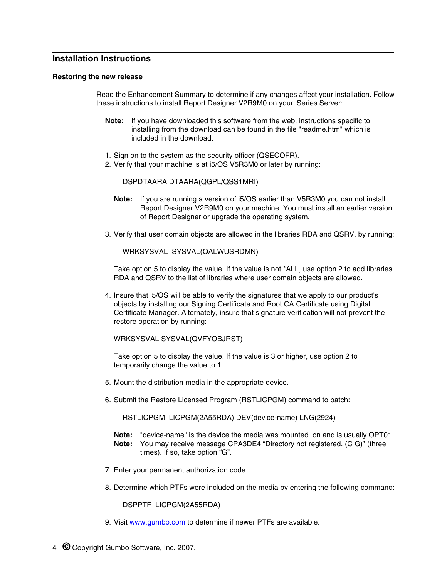## **Installation Instructions**

#### **Restoring the new release**

Read the Enhancement Summary to determine if any changes affect your installation. Follow these instructions to install Report Designer V2R9M0 on your iSeries Server:

- **Note:** If you have downloaded this software from the web, instructions specific to installing from the download can be found in the file "readme.htm" which is included in the download.
- 1. Sign on to the system as the security officer (QSECOFR).
- 2. Verify that your machine is at i5/OS V5R3M0 or later by running:

DSPDTAARA DTAARA(QGPL/QSS1MRI)

- **Note:** If you are running a version of i5/OS earlier than V5R3M0 you can not install Report Designer V2R9M0 on your machine. You must install an earlier version of Report Designer or upgrade the operating system.
- 3. Verify that user domain objects are allowed in the libraries RDA and QSRV, by running:

WRKSYSVAL SYSVAL(QALWUSRDMN)

Take option 5 to display the value. If the value is not \*ALL, use option 2 to add libraries RDA and QSRV to the list of libraries where user domain objects are allowed.

4. Insure that i5/OS will be able to verify the signatures that we apply to our product's objects by installing our Signing Certificate and Root CA Certificate using Digital Certificate Manager. Alternately, insure that signature verification will not prevent the restore operation by running:

WRKSYSVAL SYSVAL(QVFYOBJRST)

Take option 5 to display the value. If the value is 3 or higher, use option 2 to temporarily change the value to 1.

- 5. Mount the distribution media in the appropriate device.
- 6. Submit the Restore Licensed Program (RSTLICPGM) command to batch:

RSTLICPGM LICPGM(2A55RDA) DEV(device-name) LNG(2924)

- **Note:** "device-name" is the device the media was mounted on and is usually OPT01. **Note:** You may receive message CPA3DE4 "Directory not registered. (C G)" (three times). If so, take option "G".
- 7. Enter your permanent authorization code.
- 8. Determine which PTFs were included on the media by entering the following command:

DSPPTF LICPGM(2A55RDA)

9. Visit www.gumbo.com to determine if newer PTFs are available.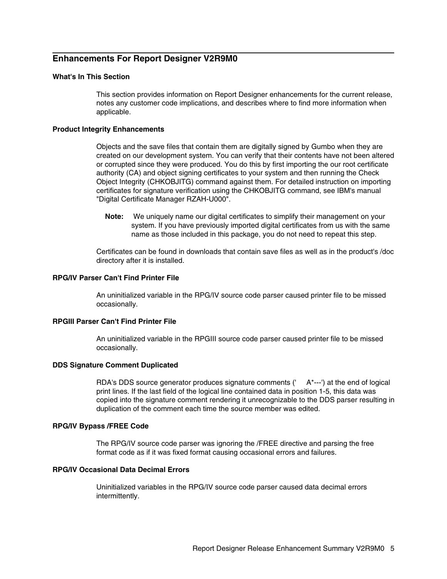# **Enhancements For Report Designer V2R9M0**

## **What's In This Section**

This section provides information on Report Designer enhancements for the current release, notes any customer code implications, and describes where to find more information when applicable.

#### **Product Integrity Enhancements**

Objects and the save files that contain them are digitally signed by Gumbo when they are created on our development system. You can verify that their contents have not been altered or corrupted since they were produced. You do this by first importing the our root certificate authority (CA) and object signing certificates to your system and then running the Check Object Integrity (CHKOBJITG) command against them. For detailed instruction on importing certificates for signature verification using the CHKOBJITG command, see IBM's manual "Digital Certificate Manager RZAH-U000".

**Note:** We uniquely name our digital certificates to simplify their management on your system. If you have previously imported digital certificates from us with the same name as those included in this package, you do not need to repeat this step.

Certificates can be found in downloads that contain save files as well as in the product's /doc directory after it is installed.

## **RPG/IV Parser Can't Find Printer File**

An uninitialized variable in the RPG/IV source code parser caused printer file to be missed occasionally.

## **RPGIII Parser Can't Find Printer File**

An uninitialized variable in the RPGIII source code parser caused printer file to be missed occasionally.

#### **DDS Signature Comment Duplicated**

RDA's DDS source generator produces signature comments  $($ <sup> $-$ </sup>A<sup>\*---'</sup>) at the end of logical print lines. If the last field of the logical line contained data in position 1-5, this data was copied into the signature comment rendering it unrecognizable to the DDS parser resulting in duplication of the comment each time the source member was edited.

#### **RPG/IV Bypass /FREE Code**

The RPG/IV source code parser was ignoring the /FREE directive and parsing the free format code as if it was fixed format causing occasional errors and failures.

#### **RPG/IV Occasional Data Decimal Errors**

Uninitialized variables in the RPG/IV source code parser caused data decimal errors intermittently.